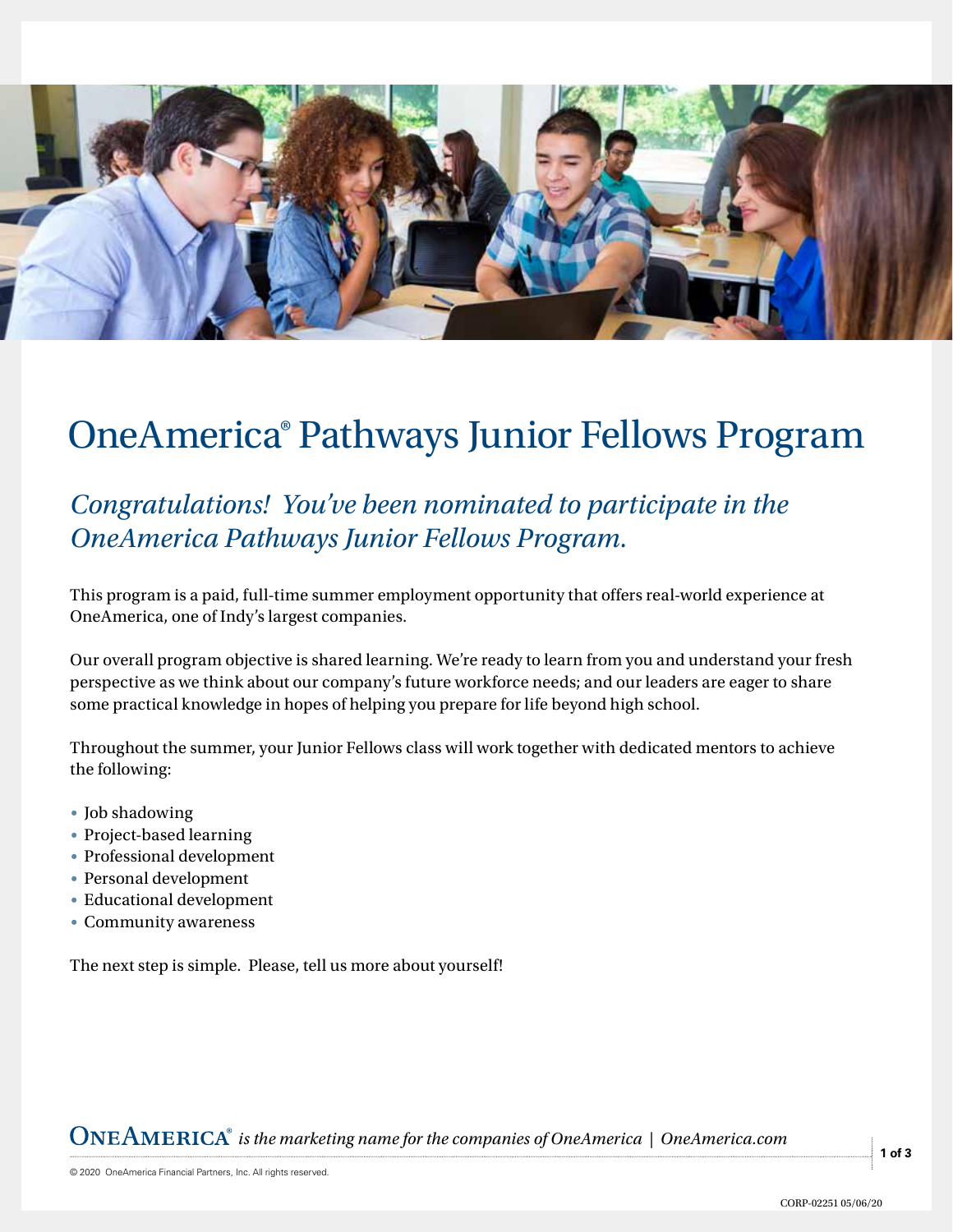

## OneAmerica® Pathways Junior Fellows Program

## *Congratulations! You've been nominated to participate in the OneAmerica Pathways Junior Fellows Program.*

This program is a paid, full-time summer employment opportunity that offers real-world experience at OneAmerica, one of Indy's largest companies.

Our overall program objective is shared learning. We're ready to learn from you and understand your fresh perspective as we think about our company's future workforce needs; and our leaders are eager to share some practical knowledge in hopes of helping you prepare for life beyond high school.

Throughout the summer, your Junior Fellows class will work together with dedicated mentors to achieve the following:

- Job shadowing
- Project-based learning
- Professional development
- Personal development
- Educational development
- Community awareness

The next step is simple. Please, tell us more about yourself!

*is the marketing name for the companies of OneAmerica | OneAmerica.com*

**1 of 3**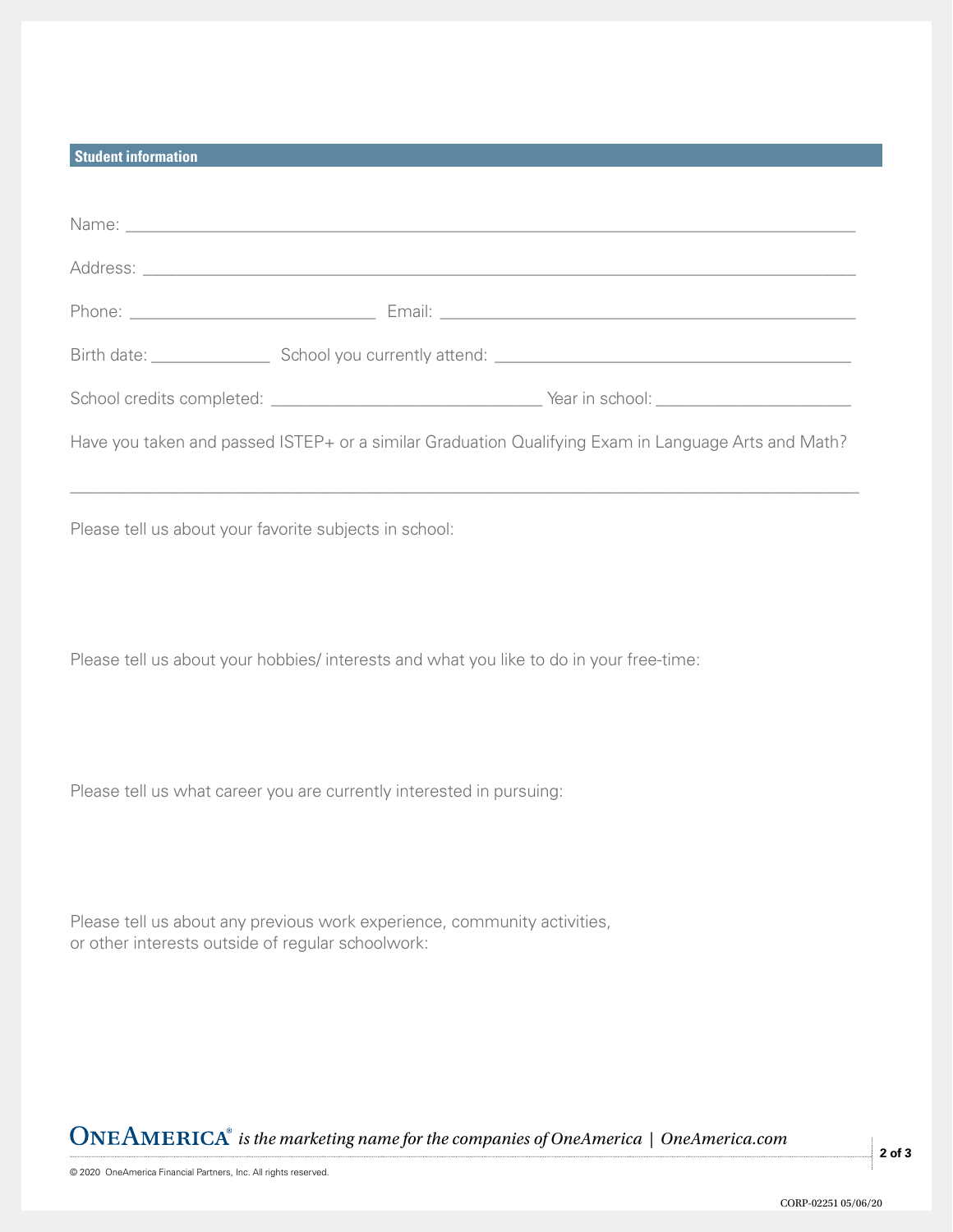## **Student information**

| Have you taken and passed ISTEP+ or a similar Graduation Qualifying Exam in Language Arts and Math?                           |
|-------------------------------------------------------------------------------------------------------------------------------|
| Please tell us about your favorite subjects in school:                                                                        |
| Please tell us about your hobbies/ interests and what you like to do in your free-time:                                       |
| Please tell us what career you are currently interested in pursuing:                                                          |
| Please tell us about any previous work experience, community activities,<br>or other interests outside of regular schoolwork: |

*is the marketing name for the companies of OneAmerica | OneAmerica.com*

**2 of 3**